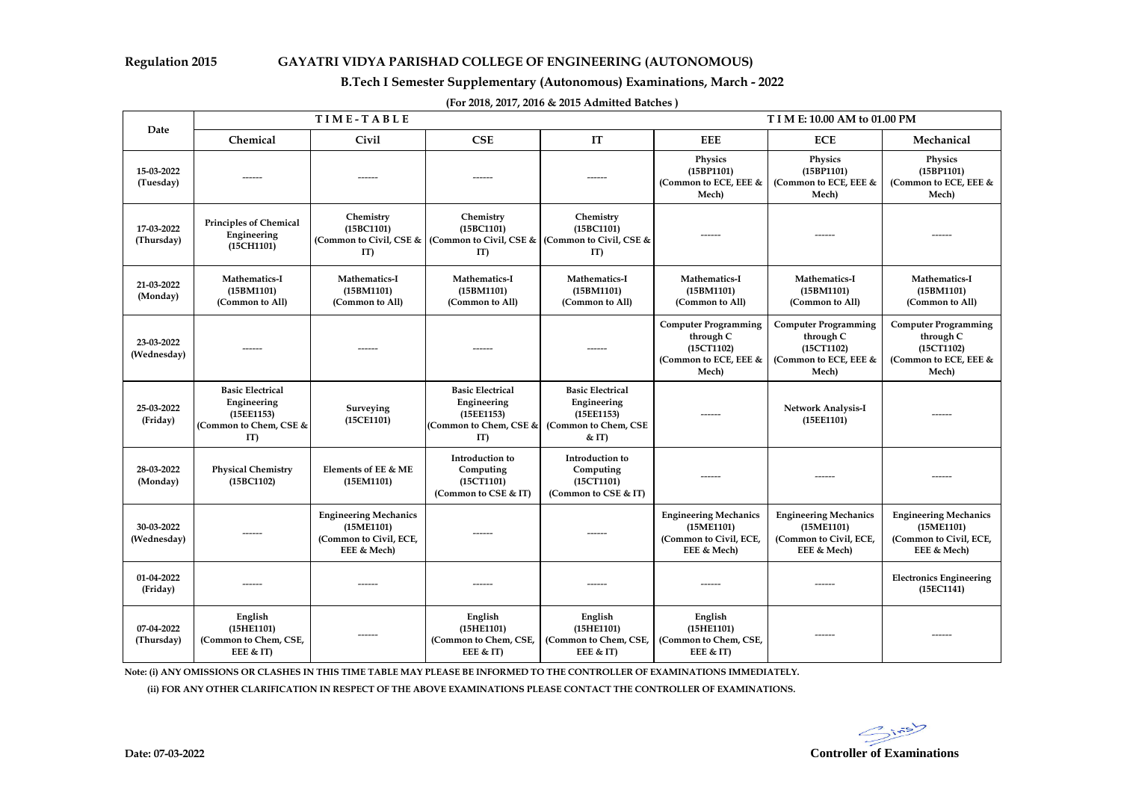### **Regulation 2015 GAYATRI VIDYA PARISHAD COLLEGE OF ENGINEERING (AUTONOMOUS)**

# **B.Tech I Semester Supplementary (Autonomous) Examinations, March - 2022**

|                           | TIME-TABLE<br><b>TIME: 10.00 AM to 01.00 PM</b>                                      |                                                                                     |                                                                                      |                                                                                      |                                                                                          |                                                                                          |                                                                                          |
|---------------------------|--------------------------------------------------------------------------------------|-------------------------------------------------------------------------------------|--------------------------------------------------------------------------------------|--------------------------------------------------------------------------------------|------------------------------------------------------------------------------------------|------------------------------------------------------------------------------------------|------------------------------------------------------------------------------------------|
| Date                      | Chemical                                                                             | Civil                                                                               | CSE                                                                                  | IT                                                                                   | <b>EEE</b>                                                                               | <b>ECE</b>                                                                               | Mechanical                                                                               |
| 15-03-2022<br>(Tuesday)   |                                                                                      |                                                                                     |                                                                                      |                                                                                      | <b>Physics</b><br>(15BP1101)<br>(Common to ECE, EEE &<br>Mech)                           | Physics<br>(15BP1101)<br>(Common to ECE, EEE &<br>Mech)                                  | <b>Physics</b><br>(15BP1101)<br>(Common to ECE, EEE &<br>Mech)                           |
| 17-03-2022<br>(Thursday)  | <b>Principles of Chemical</b><br>Engineering<br>(15CH1101)                           | Chemistry<br>(15BC1101)<br>(Common to Civil, CSE &<br>IT                            | Chemistry<br>(15BC1101)<br>(Common to Civil, CSE & $\vert$<br>IT)                    | Chemistry<br>(15BC1101)<br>(Common to Civil, CSE &<br>IT                             |                                                                                          |                                                                                          |                                                                                          |
| 21-03-2022<br>(Monday)    | Mathematics-I<br>(15BM1101)<br>(Common to All)                                       | <b>Mathematics-I</b><br>(15BM1101)<br>(Common to All)                               | <b>Mathematics-I</b><br>(15BM1101)<br>(Common to All)                                | Mathematics-I<br>(15BM1101)<br>(Common to All)                                       | Mathematics-I<br>(15BM1101)<br>(Common to All)                                           | Mathematics-I<br>(15BM1101)<br>(Common to All)                                           | Mathematics-I<br>(15BM1101)<br>(Common to All)                                           |
| 23-03-2022<br>(Wednesday) |                                                                                      |                                                                                     |                                                                                      |                                                                                      | <b>Computer Programming</b><br>through C<br>(15CT1102)<br>(Common to ECE, EEE &<br>Mech) | <b>Computer Programming</b><br>through C<br>(15CT1102)<br>(Common to ECE, EEE &<br>Mech) | <b>Computer Programming</b><br>through C<br>(15CT1102)<br>(Common to ECE, EEE &<br>Mech) |
| 25-03-2022<br>(Friday)    | <b>Basic Electrical</b><br>Engineering<br>(15EE1153)<br>(Common to Chem, CSE &<br>IT | Surveying<br>(15CE1101)                                                             | <b>Basic Electrical</b><br>Engineering<br>(15EE1153)<br>(Common to Chem, CSE &<br>IT | <b>Basic Electrical</b><br>Engineering<br>(15EE1153)<br>(Common to Chem, CSE<br>< TT | ------                                                                                   | <b>Network Analysis-I</b><br>(15EE1101)                                                  | ------                                                                                   |
| 28-03-2022<br>(Monday)    | <b>Physical Chemistry</b><br>(15BC1102)                                              | Elements of EE & ME<br>(15EM1101)                                                   | Introduction to<br>Computing<br>(15CT1101)<br>(Common to CSE & IT)                   | Introduction to<br>Computing<br>(15CT1101)<br>(Common to CSE & IT)                   | ------                                                                                   |                                                                                          |                                                                                          |
| 30-03-2022<br>(Wednesday) |                                                                                      | <b>Engineering Mechanics</b><br>(15ME1101)<br>(Common to Civil, ECE,<br>EEE & Mech) | -------                                                                              |                                                                                      | <b>Engineering Mechanics</b><br>(15ME1101)<br>(Common to Civil, ECE,<br>EEE & Mech)      | <b>Engineering Mechanics</b><br>(15ME1101)<br>(Common to Civil, ECE,<br>EEE & Mech)      | <b>Engineering Mechanics</b><br>(15ME1101)<br>(Common to Civil, ECE,<br>EEE & Mech)      |
| 01-04-2022<br>(Friday)    | ------                                                                               | ------                                                                              | ------                                                                               | ------                                                                               | ------                                                                                   | ------                                                                                   | <b>Electronics Engineering</b><br>(15EC1141)                                             |
| 07-04-2022<br>(Thursday)  | English<br>(15HE1101)<br>(Common to Chem, CSE,<br>EEE & IT)                          | ------                                                                              | English<br>(15HE1101)<br>(Common to Chem, CSE,<br>EEE $<$ IT)                        | English<br>(15HE1101)<br>(Common to Chem, CSE,<br>EEE & IT)                          | English<br>(15HE1101)<br>(Common to Chem, CSE,<br>EEE & IT)                              | ------                                                                                   | ------                                                                                   |

**(For 2018, 2017, 2016 & 2015 Admitted Batches )**

**Note: (i) ANY OMISSIONS OR CLASHES IN THIS TIME TABLE MAY PLEASE BE INFORMED TO THE CONTROLLER OF EXAMINATIONS IMMEDIATELY.**

 **(ii) FOR ANY OTHER CLARIFICATION IN RESPECT OF THE ABOVE EXAMINATIONS PLEASE CONTACT THE CONTROLLER OF EXAMINATIONS.**

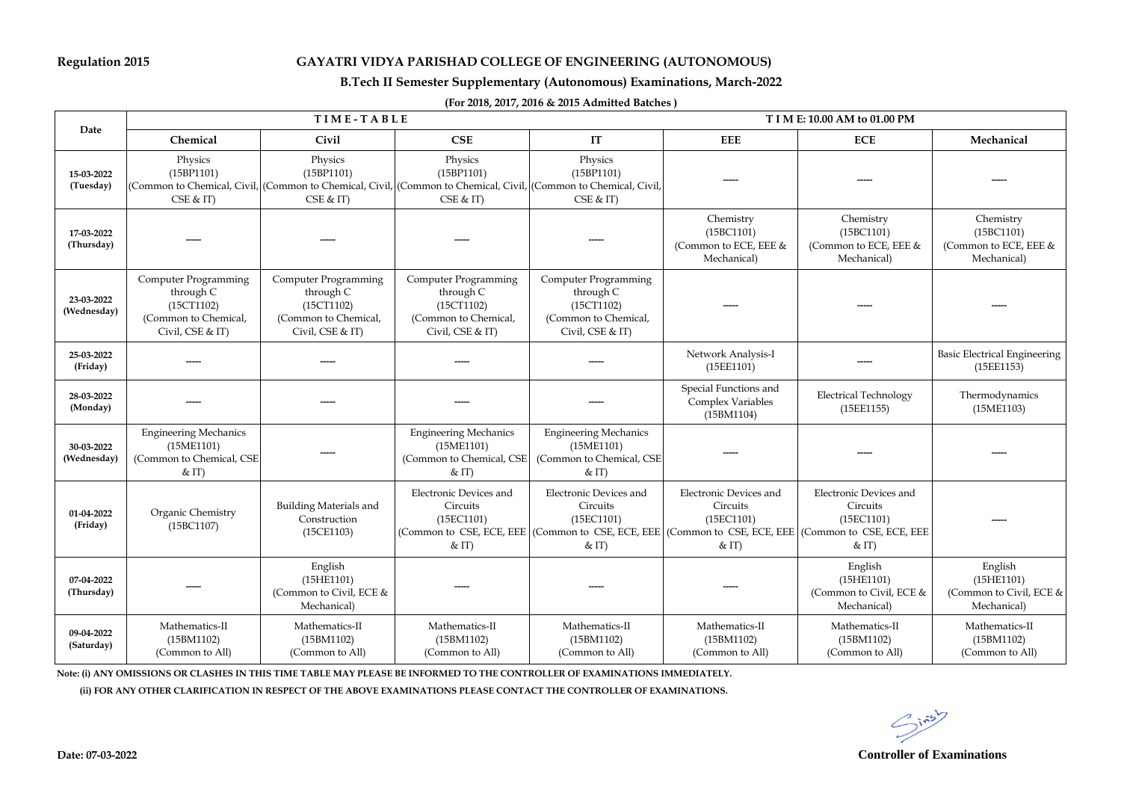## **Regulation 2015 GAYATRI VIDYA PARISHAD COLLEGE OF ENGINEERING (AUTONOMOUS)**

### **B.Tech II Semester Supplementary (Autonomous) Examinations, March-2022**

### **(For 2018, 2017, 2016 & 2015 Admitted Batches )**

|                           |                                                                                                    | TIME-TABLE                                                                                                                                         |                                                                                             | T I M E: 10.00 AM to 01.00 PM                                                               |                                                                                                                                                                    |                                                                    |                                                                 |
|---------------------------|----------------------------------------------------------------------------------------------------|----------------------------------------------------------------------------------------------------------------------------------------------------|---------------------------------------------------------------------------------------------|---------------------------------------------------------------------------------------------|--------------------------------------------------------------------------------------------------------------------------------------------------------------------|--------------------------------------------------------------------|-----------------------------------------------------------------|
| Date                      | Chemical                                                                                           | Civil                                                                                                                                              | CSE                                                                                         | $\boldsymbol{\mathrm{IT}}$                                                                  | <b>EEE</b>                                                                                                                                                         | <b>ECE</b>                                                         | Mechanical                                                      |
| 15-03-2022<br>(Tuesday)   | Physics<br>(15BP1101)<br>CSE & T                                                                   | Physics<br>(15BP1101)<br>(Common to Chemical, Civil, (Common to Chemical, Civil, (Common to Chemical, Civil, (Common to Chemical, Civil<br>CSE & T | Physics<br>(15BP1101)<br>CSE & T                                                            | Physics<br>(15BP1101)<br>$CSE &$ IT)                                                        |                                                                                                                                                                    |                                                                    |                                                                 |
| 17-03-2022<br>(Thursday)  |                                                                                                    |                                                                                                                                                    |                                                                                             |                                                                                             | Chemistry<br>(15BC1101)<br>(Common to ECE, EEE &<br>Mechanical)                                                                                                    | Chemistry<br>(15BC1101)<br>(Common to ECE, EEE &<br>Mechanical)    | Chemistry<br>(15BC1101)<br>(Common to ECE, EEE &<br>Mechanical) |
| 23-03-2022<br>(Wednesday) | <b>Computer Programming</b><br>through C<br>(15CT1102)<br>(Common to Chemical,<br>Civil, CSE & IT) | Computer Programming<br>through C<br>(15CT1102)<br>(Common to Chemical,<br>Civil, CSE & IT)                                                        | Computer Programming<br>through C<br>(15CT1102)<br>(Common to Chemical,<br>Civil, CSE & IT) | Computer Programming<br>through C<br>(15CT1102)<br>(Common to Chemical,<br>Civil, CSE & IT) |                                                                                                                                                                    |                                                                    |                                                                 |
| 25-03-2022<br>(Friday)    |                                                                                                    |                                                                                                                                                    |                                                                                             |                                                                                             | Network Analysis-I<br>(15EE1101)                                                                                                                                   |                                                                    | <b>Basic Electrical Engineering</b><br>(15EE1153)               |
| 28-03-2022<br>(Monday)    |                                                                                                    |                                                                                                                                                    |                                                                                             |                                                                                             | Special Functions and<br>Complex Variables<br>(15BM1104)                                                                                                           | <b>Electrical Technology</b><br>(15EE1155)                         | Thermodynamics<br>(15ME1103)                                    |
| 30-03-2022<br>(Wednesday) | <b>Engineering Mechanics</b><br>(15ME1101)<br>(Common to Chemical, CSE<br>< IT                     |                                                                                                                                                    | <b>Engineering Mechanics</b><br>(15ME1101)<br>(Common to Chemical, CSE<br>$&$ IT)           | <b>Engineering Mechanics</b><br>(15ME1101)<br>(Common to Chemical, CSE<br>$<$ IT)           |                                                                                                                                                                    |                                                                    |                                                                 |
| 01-04-2022<br>(Friday)    | Organic Chemistry<br>(15BC1107)                                                                    | Building Materials and<br>Construction<br>(15CE1103)                                                                                               | Electronic Devices and<br>Circuits<br>(15EC1101)<br>$&$ IT)                                 | <b>Electronic Devices and</b><br>Circuits<br>(15EC1101)<br>$&$ IT)                          | Electronic Devices and<br>Circuits<br>(15EC1101)<br>(Common to CSE, ECE, EEE (Common to CSE, ECE, EEE (Common to CSE, ECE, EEE (Common to CSE, ECE, EEE<br>$&$ IT) | <b>Electronic Devices and</b><br>Circuits<br>(15EC1101)<br>$&$ IT) |                                                                 |
| 07-04-2022<br>(Thursday)  |                                                                                                    | English<br>(15HE1101)<br>(Common to Civil, ECE &<br>Mechanical)                                                                                    |                                                                                             |                                                                                             |                                                                                                                                                                    | English<br>(15HE1101)<br>(Common to Civil, ECE &<br>Mechanical)    | English<br>(15HE1101)<br>(Common to Civil, ECE &<br>Mechanical) |
| 09-04-2022<br>(Saturday)  | Mathematics-II<br>(15BM1102)<br>(Common to All)                                                    | Mathematics-II<br>(15BM1102)<br>(Common to All)                                                                                                    | Mathematics-II<br>(15BM1102)<br>(Common to All)                                             | Mathematics-II<br>(15BM1102)<br>(Common to All)                                             | Mathematics-II<br>(15BM1102)<br>(Common to All)                                                                                                                    | Mathematics-II<br>(15BM1102)<br>(Common to All)                    | Mathematics-II<br>(15BM1102)<br>(Common to All)                 |

**Note: (i) ANY OMISSIONS OR CLASHES IN THIS TIME TABLE MAY PLEASE BE INFORMED TO THE CONTROLLER OF EXAMINATIONS IMMEDIATELY.**

 **(ii) FOR ANY OTHER CLARIFICATION IN RESPECT OF THE ABOVE EXAMINATIONS PLEASE CONTACT THE CONTROLLER OF EXAMINATIONS.**

 $G^{i\pi5}$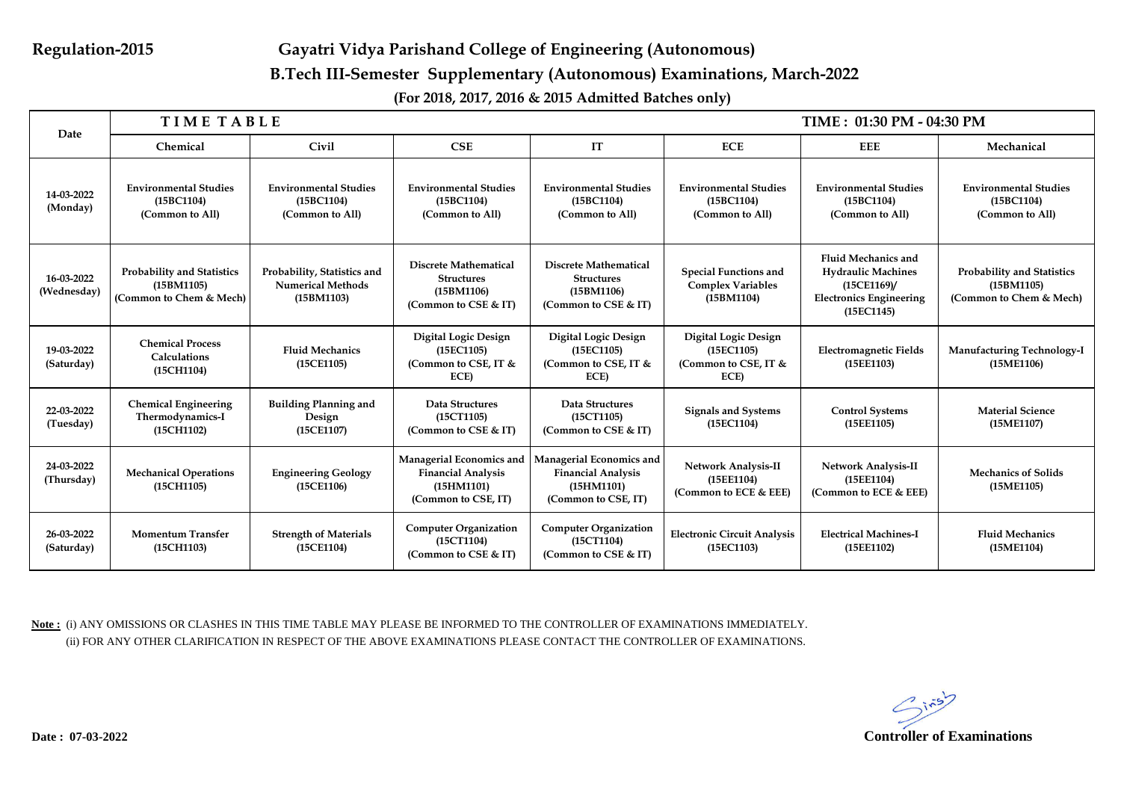# **Regulation-2015 Gayatri Vidya Parishand College of Engineering (Autonomous) B.Tech III-Semester Supplementary (Autonomous) Examinations, March-2022**

**(For 2018, 2017, 2016 & 2015 Admitted Batches only)**

| Date                      | <b>TIME TABLE</b>                                                          |                                                                       |                                                                                            |                                                                                            |                                                                        | TIME: 01:30 PM - 04:30 PM                                                                                             |                                                                            |
|---------------------------|----------------------------------------------------------------------------|-----------------------------------------------------------------------|--------------------------------------------------------------------------------------------|--------------------------------------------------------------------------------------------|------------------------------------------------------------------------|-----------------------------------------------------------------------------------------------------------------------|----------------------------------------------------------------------------|
|                           | Chemical                                                                   | Civil                                                                 | CSE                                                                                        | IT                                                                                         | <b>ECE</b>                                                             | <b>EEE</b>                                                                                                            | Mechanical                                                                 |
| 14-03-2022<br>(Monday)    | <b>Environmental Studies</b><br>(15BC1104)<br>(Common to All)              | <b>Environmental Studies</b><br>(15BC1104)<br>(Common to All)         | <b>Environmental Studies</b><br>(15BC1104)<br>(Common to All)                              | <b>Environmental Studies</b><br>(15BC1104)<br>(Common to All)                              | <b>Environmental Studies</b><br>(15BC1104)<br>(Common to All)          | <b>Environmental Studies</b><br>(15BC1104)<br>(Common to All)                                                         | <b>Environmental Studies</b><br>(15BC1104)<br>(Common to All)              |
| 16-03-2022<br>(Wednesday) | <b>Probability and Statistics</b><br>(15BM1105)<br>(Common to Chem & Mech) | Probability, Statistics and<br><b>Numerical Methods</b><br>(15BM1103) | <b>Discrete Mathematical</b><br><b>Structures</b><br>(15BM1106)<br>(Common to CSE & IT)    | <b>Discrete Mathematical</b><br><b>Structures</b><br>(15BM1106)<br>(Common to CSE & IT)    | <b>Special Functions and</b><br><b>Complex Variables</b><br>(15BM1104) | <b>Fluid Mechanics and</b><br><b>Hydraulic Machines</b><br>(15CE1169)<br><b>Electronics Engineering</b><br>(15EC1145) | <b>Probability and Statistics</b><br>(15BM1105)<br>(Common to Chem & Mech) |
| 19-03-2022<br>(Saturday)  | <b>Chemical Process</b><br><b>Calculations</b><br>(15CH1104)               | <b>Fluid Mechanics</b><br>(15CE1105)                                  | Digital Logic Design<br>(15EC1105)<br>(Common to CSE, IT &<br>ECE)                         | <b>Digital Logic Design</b><br>(15EC1105)<br>(Common to CSE, IT &<br>ECE)                  | Digital Logic Design<br>(15EC1105)<br>(Common to CSE, IT &<br>ECE)     | <b>Electromagnetic Fields</b><br>(15EE1103)                                                                           | Manufacturing Technology-I<br>(15ME1106)                                   |
| 22-03-2022<br>(Tuesday)   | <b>Chemical Engineering</b><br>Thermodynamics-I<br>(15CH1102)              | <b>Building Planning and</b><br>Design<br>(15CE1107)                  | Data Structures<br>(15CT1105)<br>(Common to CSE & IT)                                      | Data Structures<br>(15CT1105)<br>(Common to CSE & IT)                                      | <b>Signals and Systems</b><br>(15EC1104)                               | <b>Control Systems</b><br>(15EE1105)                                                                                  | <b>Material Science</b><br>(15ME1107)                                      |
| 24-03-2022<br>(Thursday)  | <b>Mechanical Operations</b><br>(15CH1105)                                 | <b>Engineering Geology</b><br>(15CE1106)                              | Managerial Economics and<br><b>Financial Analysis</b><br>(15HM1101)<br>(Common to CSE, IT) | Managerial Economics and<br><b>Financial Analysis</b><br>(15HM1101)<br>(Common to CSE, IT) | Network Analysis-II<br>(15EE1104)<br>(Common to ECE & EEE)             | <b>Network Analysis-II</b><br>(15EE1104)<br>(Common to ECE & EEE)                                                     | <b>Mechanics of Solids</b><br>(15ME1105)                                   |
| 26-03-2022<br>(Saturday)  | <b>Momentum Transfer</b><br>(15CH1103)                                     | <b>Strength of Materials</b><br>(15CE1104)                            | <b>Computer Organization</b><br>(15CT1104)<br>(Common to CSE & IT)                         | <b>Computer Organization</b><br>(15CT1104)<br>(Common to CSE & IT)                         | <b>Electronic Circuit Analysis</b><br>(15EC1103)                       | <b>Electrical Machines-I</b><br>(15EE1102)                                                                            | <b>Fluid Mechanics</b><br>(15ME1104)                                       |

**Note :** (i) ANY OMISSIONS OR CLASHES IN THIS TIME TABLE MAY PLEASE BE INFORMED TO THE CONTROLLER OF EXAMINATIONS IMMEDIATELY. (ii) FOR ANY OTHER CLARIFICATION IN RESPECT OF THE ABOVE EXAMINATIONS PLEASE CONTACT THE CONTROLLER OF EXAMINATIONS.

 $G^{ins}$ **Date : 07-03-2022 Controller of Examinations**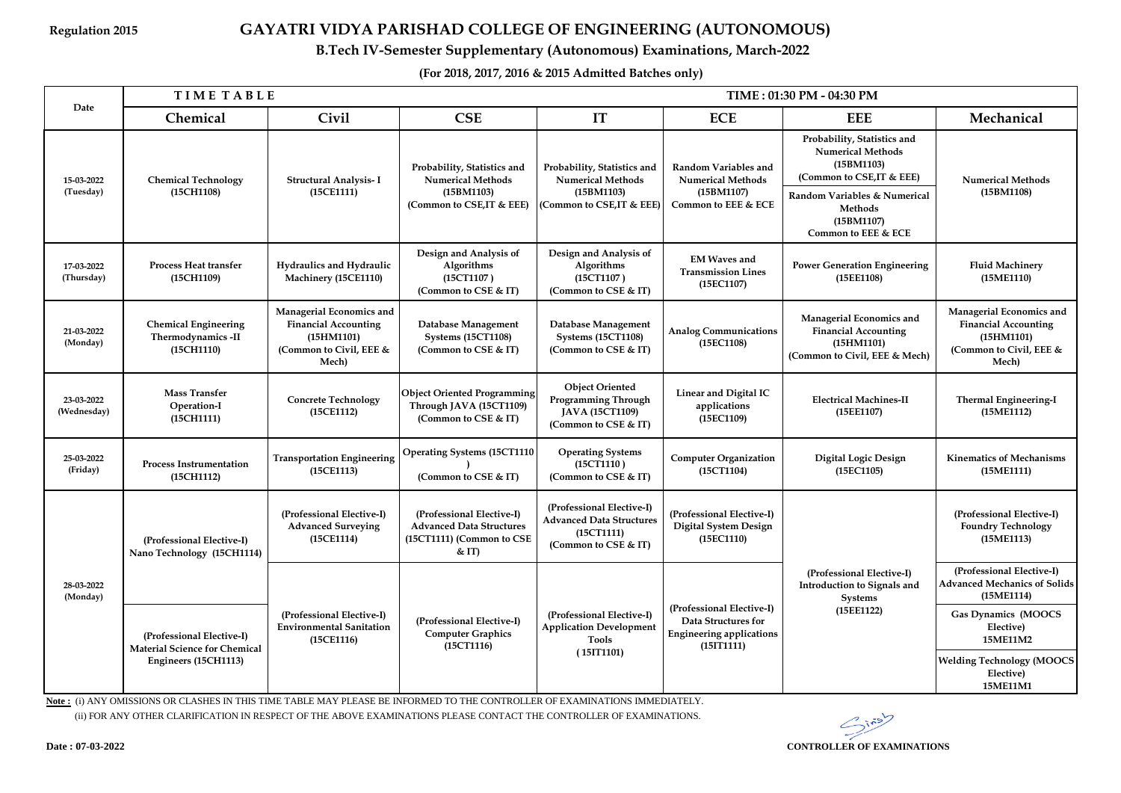# **Regulation 2015 GAYATRI VIDYA PARISHAD COLLEGE OF ENGINEERING (AUTONOMOUS)**

 **B.Tech IV-Semester Supplementary (Autonomous) Examinations, March-2022**

**(For 2018, 2017, 2016 & 2015 Admitted Batches only)**

|                           | <b>TIMETABLE</b><br>TIME: 01:30 PM - 04:30 PM                     |                                                                                                           |                                                                                                   |                                                                                                    |                                                                                                   |                                                                                                                                                                                           |                                                                                                           |  |
|---------------------------|-------------------------------------------------------------------|-----------------------------------------------------------------------------------------------------------|---------------------------------------------------------------------------------------------------|----------------------------------------------------------------------------------------------------|---------------------------------------------------------------------------------------------------|-------------------------------------------------------------------------------------------------------------------------------------------------------------------------------------------|-----------------------------------------------------------------------------------------------------------|--|
| Date                      | Chemical                                                          | <b>Civil</b>                                                                                              | <b>CSE</b>                                                                                        | IT                                                                                                 | <b>ECE</b>                                                                                        | <b>EEE</b>                                                                                                                                                                                | Mechanical                                                                                                |  |
| 15-03-2022<br>(Tuesday)   | <b>Chemical Technology</b><br>(15CH1108)                          | Structural Analysis-I<br>(15CE1111)                                                                       | Probability, Statistics and<br><b>Numerical Methods</b><br>(15BM1103)<br>(Common to CSE,IT & EEE) | Probability, Statistics and<br><b>Numerical Methods</b><br>(15BM1103)<br>(Common to CSE, IT & EEE) | Random Variables and<br><b>Numerical Methods</b><br>(15BM1107)<br>Common to EEE & ECE             | Probability, Statistics and<br><b>Numerical Methods</b><br>(15BM1103)<br>(Common to CSE, IT & EEE)<br>Random Variables & Numerical<br><b>Methods</b><br>(15BM1107)<br>Common to EEE & ECE | <b>Numerical Methods</b><br>(15BM1108)                                                                    |  |
| 17-03-2022<br>(Thursday)  | <b>Process Heat transfer</b><br>(15CH1109)                        | Hydraulics and Hydraulic<br>Machinery (15CE1110)                                                          | Design and Analysis of<br>Algorithms<br>(15CT1107)<br>(Common to CSE & IT)                        | Design and Analysis of<br>Algorithms<br>(15CT1107)<br>(Common to CSE & IT)                         | <b>EM Waves and</b><br><b>Transmission Lines</b><br>(15EC1107)                                    | <b>Power Generation Engineering</b><br>(15EE1108)                                                                                                                                         | <b>Fluid Machinery</b><br>(15ME1110)                                                                      |  |
| 21-03-2022<br>(Monday)    | <b>Chemical Engineering</b><br>Thermodynamics -II<br>(15CH1110)   | Managerial Economics and<br><b>Financial Accounting</b><br>(15HM1101)<br>(Common to Civil, EEE &<br>Mech) | Database Management<br><b>Systems (15CT1108)</b><br>(Common to CSE & IT)                          | Database Management<br><b>Systems (15CT1108)</b><br>(Common to CSE & IT)                           | <b>Analog Communications</b><br>(15EC1108)                                                        | Managerial Economics and<br><b>Financial Accounting</b><br>(15HM1101)<br>(Common to Civil, EEE & Mech)                                                                                    | Managerial Economics and<br><b>Financial Accounting</b><br>(15HM1101)<br>(Common to Civil, EEE &<br>Mech) |  |
| 23-03-2022<br>(Wednesday) | Mass Transfer<br>Operation-I<br>(15CH1111)                        | <b>Concrete Technology</b><br>(15CE1112)                                                                  | <b>Object Oriented Programming</b><br>Through JAVA (15CT1109)<br>(Common to CSE & IT)             | <b>Object Oriented</b><br>Programming Through<br>JAVA (15CT1109)<br>(Common to CSE & IT)           | Linear and Digital IC<br>applications<br>(15EC1109)                                               | <b>Electrical Machines-II</b><br>(15EE1107)                                                                                                                                               | Thermal Engineering-I<br>(15ME1112)                                                                       |  |
| 25-03-2022<br>(Friday)    | <b>Process Instrumentation</b><br>(15CH1112)                      | <b>Transportation Engineering</b><br>(15CE1113)                                                           | <b>Operating Systems (15CT1110</b><br>(Common to CSE & IT)                                        | <b>Operating Systems</b><br>(15CT1110)<br>(Common to CSE & IT)                                     | <b>Computer Organization</b><br>(15CT1104)                                                        | Digital Logic Design<br>(15EC1105)                                                                                                                                                        | <b>Kinematics of Mechanisms</b><br>(15ME1111)                                                             |  |
| 28-03-2022<br>(Monday)    | (Professional Elective-I)<br>Nano Technology (15CH1114)           | (Professional Elective-I)<br><b>Advanced Surveying</b><br>(15CE1114)                                      | (Professional Elective-I)<br><b>Advanced Data Structures</b><br>(15CT1111) (Common to CSE<br>< IT | (Professional Elective-I)<br><b>Advanced Data Structures</b><br>(15CT1111)<br>(Common to CSE & IT) | (Professional Elective-I)<br><b>Digital System Design</b><br>(15EC1110)                           | (Professional Elective-I)<br>Introduction to Signals and<br>Systems<br>(15EE1122)                                                                                                         | (Professional Elective-I)<br><b>Foundry Technology</b><br>(15ME1113)                                      |  |
|                           |                                                                   |                                                                                                           |                                                                                                   |                                                                                                    |                                                                                                   |                                                                                                                                                                                           | (Professional Elective-I)<br><b>Advanced Mechanics of Solids</b><br>(15ME1114)                            |  |
|                           | (Professional Elective-I)<br><b>Material Science for Chemical</b> | (Professional Elective-I)<br><b>Environmental Sanitation</b><br>(15CE1116)                                | (Professional Elective-I)<br><b>Computer Graphics</b><br>(15CT1116)                               | (Professional Elective-I)<br><b>Application Development</b><br><b>Tools</b>                        | (Professional Elective-I)<br>Data Structures for<br><b>Engineering applications</b><br>(15IT1111) |                                                                                                                                                                                           | Gas Dynamics (MOOCS<br>Elective)<br>15ME11M2                                                              |  |
|                           | Engineers (15CH1113)                                              |                                                                                                           |                                                                                                   | (15IT1101)                                                                                         |                                                                                                   |                                                                                                                                                                                           | <b>Welding Technology (MOOCS</b><br>Elective)<br>15ME11M1                                                 |  |

**Note :** (i) ANY OMISSIONS OR CLASHES IN THIS TIME TABLE MAY PLEASE BE INFORMED TO THE CONTROLLER OF EXAMINATIONS IMMEDIATELY. (ii) FOR ANY OTHER CLARIFICATION IN RESPECT OF THE ABOVE EXAMINATIONS PLEASE CONTACT THE CONTROLLER OF EXAMINATIONS.

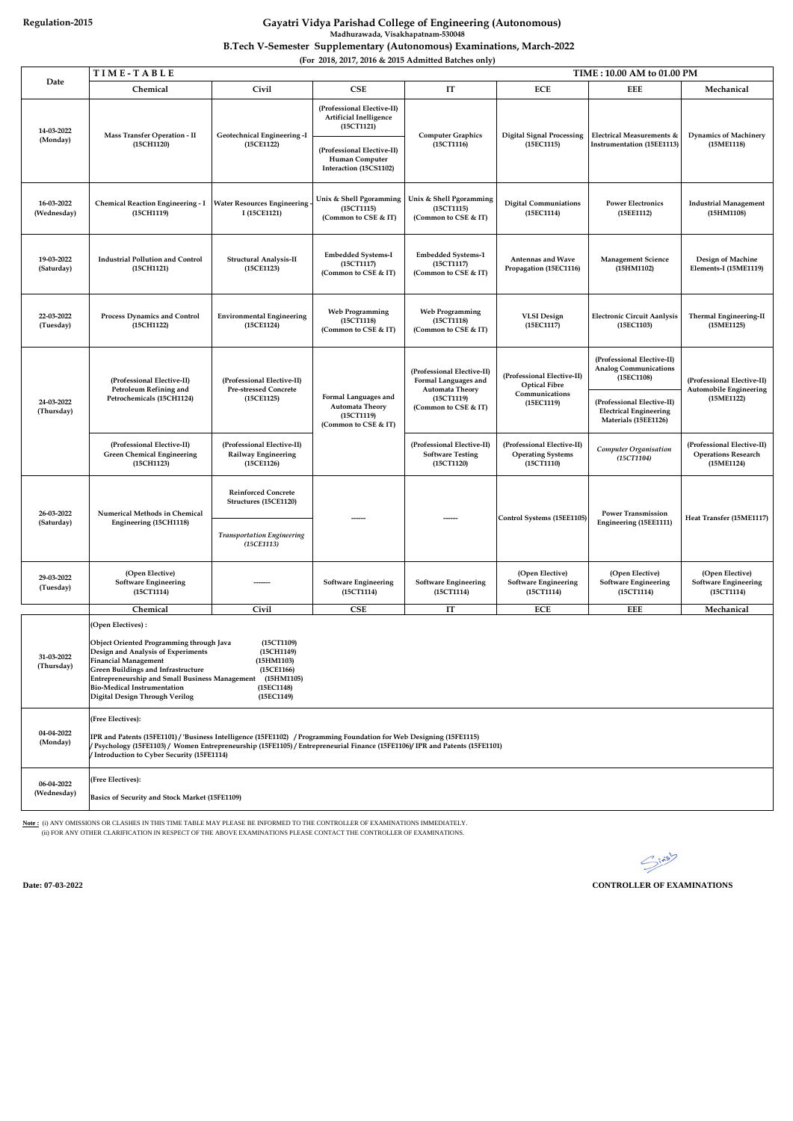|                           | TIME-TABLE<br>TIME: 10.00 AM to 01.00 PM                                                                                                                                                                                                                                                                                                                                                                    |                                                                                                        |                                                                                                                                              |                                                                                                                    |                                                                                    |                                                                                     |                                                                           |  |  |
|---------------------------|-------------------------------------------------------------------------------------------------------------------------------------------------------------------------------------------------------------------------------------------------------------------------------------------------------------------------------------------------------------------------------------------------------------|--------------------------------------------------------------------------------------------------------|----------------------------------------------------------------------------------------------------------------------------------------------|--------------------------------------------------------------------------------------------------------------------|------------------------------------------------------------------------------------|-------------------------------------------------------------------------------------|---------------------------------------------------------------------------|--|--|
| Date                      | Chemical                                                                                                                                                                                                                                                                                                                                                                                                    | <b>Civil</b>                                                                                           | CSE                                                                                                                                          | IT                                                                                                                 | <b>ECE</b>                                                                         | <b>EEE</b>                                                                          | Mechanical                                                                |  |  |
| 14-03-2022<br>(Monday)    | Mass Transfer Operation - II<br>(15CH1120)                                                                                                                                                                                                                                                                                                                                                                  | Geotechnical Engineering -I<br>(15CE1122)                                                              | (Professional Elective-II)<br>Artificial Inelligence<br>(15CT1121)<br>(Professional Elective-II)<br>Human Computer<br>Interaction (15CS1102) | <b>Computer Graphics</b><br>(15CT1116)                                                                             | <b>Digital Signal Processing</b><br>(15EC1115)                                     | Electrical Measurements &<br><b>Instrumentation (15EE1113)</b>                      | <b>Dynamics of Machinery</b><br>(15ME1118)                                |  |  |
| 16-03-2022<br>(Wednesday) | <b>Chemical Reaction Engineering - I</b><br>(15CH1119)                                                                                                                                                                                                                                                                                                                                                      | <b>Water Resources Engineering</b><br>I (15CE1121)                                                     | Unix & Shell Pgoramming<br>(15CT1115)<br>(Common to CSE & IT)                                                                                | Unix & Shell Pgoramming<br>(15CT1115)<br>(Common to CSE & IT)                                                      | <b>Digital Communiations</b><br>(15EC1114)                                         | <b>Power Electronics</b><br>(15EE1112)                                              | <b>Industrial Management</b><br>(15HM1108)                                |  |  |
| 19-03-2022<br>(Saturday)  | <b>Industrial Pollution and Control</b><br>(15CH1121)                                                                                                                                                                                                                                                                                                                                                       | Structural Analysis-II<br>(15CE1123)                                                                   | <b>Embedded Systems-I</b><br>(15CT1117)<br>(Common to CSE & IT)                                                                              | <b>Embedded Systems-1</b><br>(15CT1117)<br>(Common to CSE & IT)                                                    | <b>Antennas and Wave</b><br>Propagation (15EC1116)                                 | <b>Management Science</b><br>(15HM1102)                                             | Design of Machine<br>Elements-I (15ME1119)                                |  |  |
| 22-03-2022<br>(Tuesday)   | Process Dynamics and Control<br>(15CH1122)                                                                                                                                                                                                                                                                                                                                                                  | <b>Environmental Engineering</b><br>(15CE1124)                                                         | <b>Web Programming</b><br>(15CT1118)<br>(Common to CSE & IT)                                                                                 | <b>Web Programming</b><br>(15CT1118)<br>(Common to CSE & IT)                                                       | <b>VLSI</b> Design<br>(15EC1117)                                                   | <b>Electronic Circuit Aanlysis</b><br>(15EC1103)                                    | Thermal Engineering-II<br>(15ME1125)                                      |  |  |
|                           | (Professional Elective-II)<br>Petroleum Refining and<br>Petrochemicals (15CH1124)                                                                                                                                                                                                                                                                                                                           | (Professional Elective-II)<br><b>Pre-stressed Concrete</b><br>(15CE1125)                               | Formal Languages and<br><b>Automata Theory</b><br>(15CT1119)<br>(Common to CSE & IT)                                                         | (Professional Elective-II)<br>Formal Languages and<br><b>Automata Theory</b><br>(15CT1119)<br>(Common to CSE & IT) | (Professional Elective-II)<br><b>Optical Fibre</b><br>Communications<br>(15EC1119) | (Professional Elective-II)<br><b>Analog Communications</b><br>(15EC1108)            | (Professional Elective-II)<br><b>Automobile Engineering</b><br>(15ME1122) |  |  |
| 24-03-2022<br>(Thursday)  |                                                                                                                                                                                                                                                                                                                                                                                                             |                                                                                                        |                                                                                                                                              |                                                                                                                    |                                                                                    | (Professional Elective-II)<br><b>Electrical Engineering</b><br>Materials (15EE1126) |                                                                           |  |  |
|                           | (Professional Elective-II)<br><b>Green Chemical Engineering</b><br>(15CH1123)                                                                                                                                                                                                                                                                                                                               | (Professional Elective-II)<br>Railway Engineering<br>(15CE1126)                                        |                                                                                                                                              | (Professional Elective-II)<br><b>Software Testing</b><br>(15CT1120)                                                | (Professional Elective-II)<br><b>Operating Systems</b><br>(15CT1110)               | <b>Computer Organisation</b><br>(15CT1104)                                          | (Professional Elective-II)<br><b>Operations Research</b><br>(15ME1124)    |  |  |
| 26-03-2022<br>(Saturday)  | <b>Numerical Methods in Chemical</b><br>Engineering (15CH1118)                                                                                                                                                                                                                                                                                                                                              | <b>Reinforced Concrete</b><br>Structures (15CE1120)<br><b>Transportation Engineering</b><br>(15CE1113) |                                                                                                                                              |                                                                                                                    | Control Systems (15EE1105)                                                         | <b>Power Transmission</b><br>Engineering (15EE1111)                                 | Heat Transfer (15ME1117)                                                  |  |  |
| 29-03-2022<br>(Tuesday)   | (Open Elective)<br><b>Software Engineering</b><br>(15CT1114)                                                                                                                                                                                                                                                                                                                                                |                                                                                                        | <b>Software Engineering</b><br>(15CT1114)                                                                                                    | <b>Software Engineering</b><br>(15CT1114)                                                                          | (Open Elective)<br><b>Software Engineering</b><br>(15CT1114)                       | (Open Elective)<br><b>Software Engineering</b><br>(15CT1114)                        | (Open Elective)<br><b>Software Engineering</b><br>(15CT1114)              |  |  |
|                           | Chemical                                                                                                                                                                                                                                                                                                                                                                                                    | Civil                                                                                                  | CSE                                                                                                                                          | IT                                                                                                                 | <b>ECE</b>                                                                         | <b>EEE</b>                                                                          | Mechanical                                                                |  |  |
| 31-03-2022<br>(Thursday)  | (Open Electives):<br>Object Oriented Programming through Java<br>(15CT1109)<br>Design and Analysis of Experiments<br>(15CH1149)<br><b>Financial Management</b><br>(15HM1103)<br><b>Green Buildings and Infrastructure</b><br>(15CE1166)<br>Entrepreneurship and Small Business Management<br>(15HM1105)<br><b>Bio-Medical Instrumentation</b><br>(15EC1148)<br>Digital Design Through Verilog<br>(15EC1149) |                                                                                                        |                                                                                                                                              |                                                                                                                    |                                                                                    |                                                                                     |                                                                           |  |  |
| 04-04-2022<br>(Monday)    | (Free Electives):<br>IPR and Patents (15FE1101) / 'Business Intelligence (15FE1102) / Programming Foundation for Web Designing (15FE1115)<br>(Psychology (15FE1103) / Women Entrepreneurship (15FE1105) / Entrepreneurial Finance (15FE1106)/ IPR and Patents (15FE1101)<br>/ Introduction to Cyber Security (15FE1114)                                                                                     |                                                                                                        |                                                                                                                                              |                                                                                                                    |                                                                                    |                                                                                     |                                                                           |  |  |
| 06-04-2022<br>(Wednesday) | (Free Electives):<br>Basics of Security and Stock Market (15FE1109)                                                                                                                                                                                                                                                                                                                                         |                                                                                                        |                                                                                                                                              |                                                                                                                    |                                                                                    |                                                                                     |                                                                           |  |  |

**Note :** (i) ANY OMISSIONS OR CLASHES IN THIS TIME TABLE MAY PLEASE BE INFORMED TO THE CONTROLLER OF EXAMINATIONS IMMEDIATELY. (ii) FOR ANY OTHER CLARIFICATION IN RESPECT OF THE ABOVE EXAMINATIONS PLEASE CONTACT THE CONTROLLER OF EXAMINATIONS.

 $\mathcal{S}^{\text{ins}}$ 

**Date: 07-03-2022**

 **CONTROLLER OF EXAMINATIONS**

# **Regulation-2015 Gayatri Vidya Parishad College of Engineering (Autonomous) Madhurawada, Visakhapatnam-530048**

 **B.Tech V-Semester Supplementary (Autonomous) Examinations, March-2022**

**(For 2018, 2017, 2016 & 2015 Admitted Batches only)**